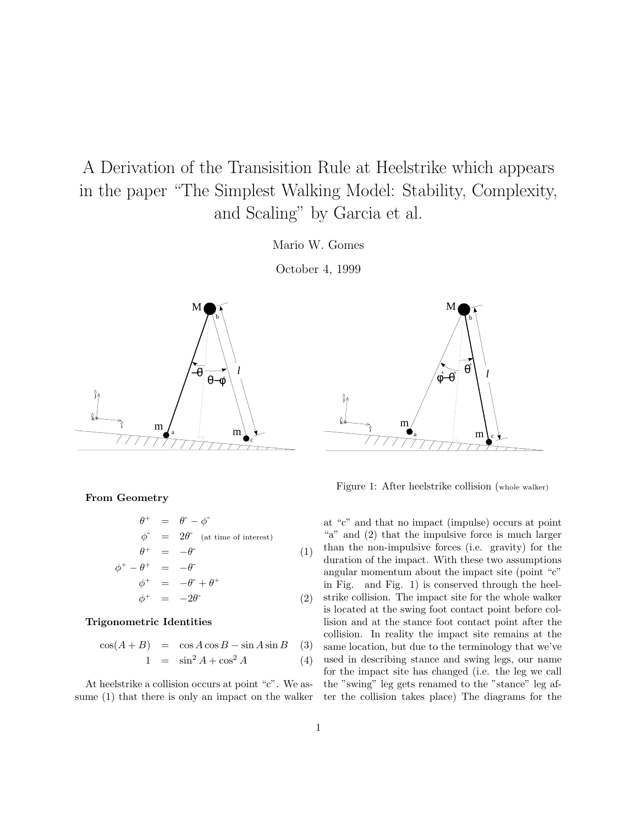A Derivation of the Transisition Rule at Heelstrike which appears in the paper "The Simplest Walking Model: Stability, Complexity, and Scaling" by Garcia et al.

Mario W. Gomes

October 4, 1999



**From Geometry**

$$
\begin{array}{rcl}\n\theta^+ &=& \theta^- - \phi^- \\
\phi^- &=& 2\theta^- \text{ (at time of interest)} \\
\theta^+ &=& -\theta^- \tag{1}\n\end{array}
$$

$$
\begin{array}{rcl}\n\phi^+ - \theta^+ & = & -\theta^+ \\
\phi^+ & = & -\theta^- + \theta^+ \\
\phi^+ & = & -2\theta^- \tag{2}\n\end{array}
$$

### **Trigonometric Identities**

$$
\cos(A+B) = \cos A \cos B - \sin A \sin B \quad (3)
$$

$$
1 = \sin^2 A + \cos^2 A \tag{4}
$$

At heelstrike a collision occurs at point "c". We assume (1) that there is only an impact on the walker



Figure 1: After heelstrike collision (whole walker)

at "c" and that no impact (impulse) occurs at point "a" and (2) that the impulsive force is much larger than the non-impulsive forces (i.e. gravity) for the duration of the impact. With these two assumptions angular momentum about the impact site (point "c" in Fig. and Fig. 1) is conserved through the heelstrike collision. The impact site for the whole walker is located at the swing foot contact point before collision and at the stance foot contact point after the collision. In reality the impact site remains at the same location, but due to the terminology that we've used in describing stance and swing legs, our name for the impact site has changed (i.e. the leg we call the "swing" leg gets renamed to the "stance" leg after the collision takes place) The diagrams for the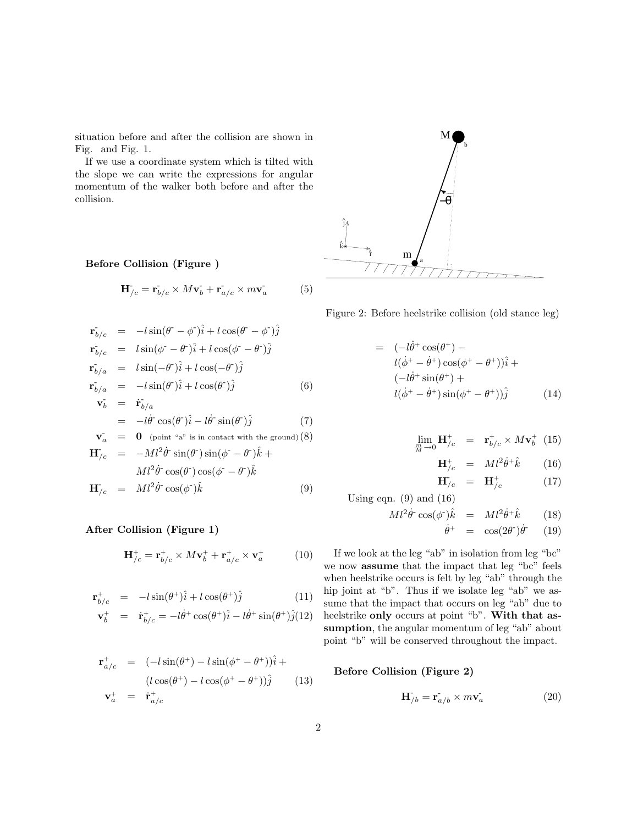situation before and after the collision are shown in Fig. and Fig. 1.

If we use a coordinate system which is tilted with the slope we can write the expressions for angular momentum of the walker both before and after the collision.

## **Before Collision (Figure )**

$$
\mathbf{H}_{/c}^{\dagger} = \mathbf{r}_{b/c}^{\dagger} \times M\mathbf{v}_b^{\dagger} + \mathbf{r}_{a/c}^{\dagger} \times m\mathbf{v}_a^{\dagger} \tag{5}
$$

$$
\mathbf{r}_{b/c} = -l \sin(\theta^- - \phi^-)\hat{i} + l \cos(\theta^- - \phi^-)\hat{j}
$$
\n
$$
\mathbf{r}_{b/c} = l \sin(\phi^- - \theta^-)\hat{i} + l \cos(\phi^- - \theta^-)\hat{j}
$$
\n
$$
\mathbf{r}_{b/a} = l \sin(-\theta^-)\hat{i} + l \cos(-\theta^-)\hat{j}
$$
\n
$$
\mathbf{r}_{b/a} = -l \sin(\theta^-)\hat{i} + l \cos(\theta^-)\hat{j}
$$
\n(6)\n
$$
\mathbf{v}_b = \dot{\mathbf{r}}_{b/a}
$$
\n
$$
= -l\dot{\theta}^- \cos(\theta^-)\hat{i} - l\dot{\theta}^- \sin(\theta^-)\hat{j}
$$
\n(7)\n
$$
\mathbf{v}_a = \mathbf{0} \text{ (point "a" is in contact with the ground) (8)}
$$
\n
$$
\mathbf{H} = -Ml^2 \dot{\theta}^- \sin(\theta^-) \sin(\phi^- - \theta^-)\hat{i} + l \sin(\theta^- - \theta^-)\hat{j}
$$

$$
\mathbf{H}_{/c} = -Ml^2\dot{\theta} \cdot \sin(\theta) \sin(\phi - \theta) \hat{k} +
$$
  
\n
$$
Ml^2\dot{\theta} \cdot \cos(\theta) \cos(\phi - \theta) \hat{k}
$$
  
\n
$$
\mathbf{H}_{/c} = Ml^2\dot{\theta} \cdot \cos(\phi) \hat{k}
$$
 (9)

## **After Collision (Figure 1)**

$$
\mathbf{H}_{/c}^{+} = \mathbf{r}_{b/c}^{+} \times M \mathbf{v}_{b}^{+} + \mathbf{r}_{a/c}^{+} \times \mathbf{v}_{a}^{+} \tag{10}
$$

$$
\mathbf{r}_{b/c}^{+} = -l\sin(\theta^{+})\hat{i} + l\cos(\theta^{+})\hat{j} \tag{11}
$$

$$
\mathbf{v}_b^+ = \dot{\mathbf{r}}_{b/c}^+ = -l\dot{\theta}^+ \cos(\theta^+)\hat{i} - l\dot{\theta}^+ \sin(\theta^+)\hat{j}(12)
$$

$$
\mathbf{r}_{a/c}^{+} = (-l\sin(\theta^{+}) - l\sin(\phi^{+} - \theta^{+}))\hat{i} + (l\cos(\theta^{+}) - l\cos(\phi^{+} - \theta^{+}))\hat{j} \qquad (13)
$$
  

$$
\mathbf{v}_{a}^{+} = \dot{\mathbf{r}}_{a/c}^{+}
$$



Figure 2: Before heelstrike collision (old stance leg)

$$
= (-l\dot{\theta}^+ \cos(\theta^+) -
$$
  
\n
$$
l(\dot{\phi}^+ - \dot{\theta}^+) \cos(\phi^+ - \theta^+))\hat{i} +
$$
  
\n
$$
(-l\dot{\theta}^+ \sin(\theta^+) +
$$
  
\n
$$
l(\dot{\phi}^+ - \dot{\theta}^+) \sin(\phi^+ - \theta^+))\hat{j}
$$
\n(14)

$$
\lim_{\frac{m}{M}\to 0} \mathbf{H}_{/c}^{+} = \mathbf{r}_{b/c}^{+} \times M \mathbf{v}_{b}^{+} \tag{15}
$$

$$
\mathbf{H}_{/c}^{+} = Ml^2\dot{\theta}^+\hat{k} \qquad (16)
$$

$$
\mathbf{H}_{/c} = \mathbf{H}_{/c}^{+} \tag{17}
$$

Using eqn.  $(9)$  and  $(16)$ 

$$
M l^2 \dot{\theta}^{\dagger} \cos(\phi^{\dagger}) \hat{k} = M l^2 \dot{\theta}^{\dagger} \hat{k} \qquad (18)
$$

$$
\dot{\theta}^+ = \cos(2\theta^{\scriptscriptstyle -})\dot{\theta}^{\scriptscriptstyle -} \qquad (19)
$$

If we look at the leg "ab" in isolation from leg "bc" we now **assume** that the impact that leg "bc" feels when heelstrike occurs is felt by leg "ab" through the hip joint at "b". Thus if we isolate leg "ab" we assume that the impact that occurs on leg "ab" due to heelstrike **only** occurs at point "b". **With that as**sumption, the angular momentum of leg "ab" about point "b" will be conserved throughout the impact.

### **Before Collision (Figure 2)**

$$
\mathbf{H}_{/b}^{\dagger} = \dot{\mathbf{r}_{a/b}} \times m\dot{\mathbf{v}_{a}} \tag{20}
$$